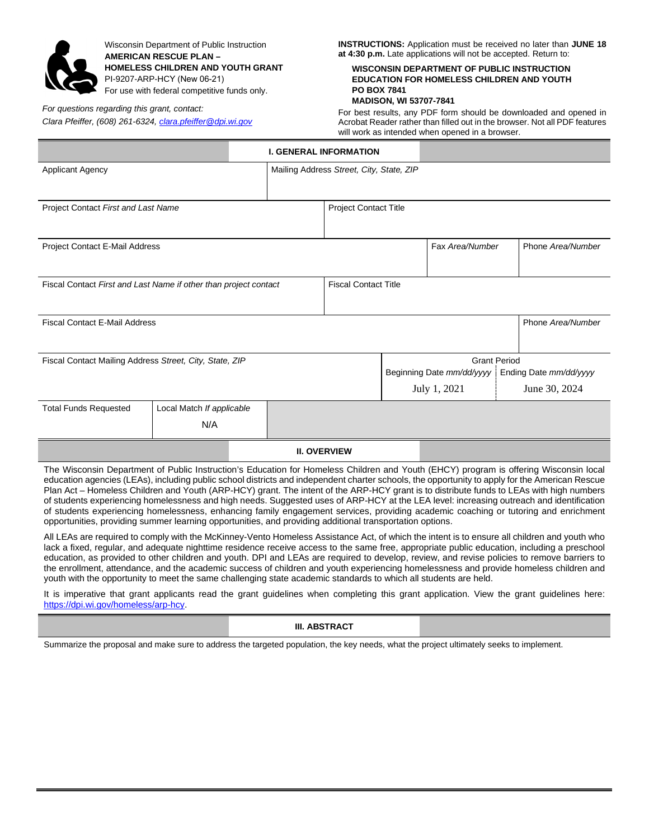

Wisconsin Department of Public Instruction **AMERICAN RESCUE PLAN – HOMELESS CHILDREN AND YOUTH GRANT**  PI-9207-ARP-HCY (New 06-21) For use with federal competitive funds only.

## *For questions regarding this grant, contact:*

*Clara Pfeiffer, (608) 261-6324[, clara.pfeiffer@dpi.wi.gov](mailto:clara.pfeiffer@dpi.wi.gov)*

**INSTRUCTIONS:** Application must be received no later than **JUNE 18 at 4:30 p.m.** Late applications will not be accepted. Return to:

# **WISCONSIN DEPARTMENT OF PUBLIC INSTRUCTION EDUCATION FOR HOMELESS CHILDREN AND YOUTH PO BOX 7841**

**MADISON, WI 53707-7841**

For best results, any PDF form should be downloaded and opened in Acrobat Reader rather than filled out in the browser. Not all PDF features will work as intended when opened in a browser.

|                                                                  |                           |                                          | <b>I. GENERAL INFORMATION</b> |                              |  |                                                                            |  |                   |
|------------------------------------------------------------------|---------------------------|------------------------------------------|-------------------------------|------------------------------|--|----------------------------------------------------------------------------|--|-------------------|
| <b>Applicant Agency</b>                                          |                           | Mailing Address Street, City, State, ZIP |                               |                              |  |                                                                            |  |                   |
| Project Contact First and Last Name                              |                           |                                          |                               | <b>Project Contact Title</b> |  |                                                                            |  |                   |
| Project Contact E-Mail Address                                   |                           |                                          |                               |                              |  | Fax Area/Number                                                            |  | Phone Area/Number |
| Fiscal Contact First and Last Name if other than project contact |                           |                                          |                               | <b>Fiscal Contact Title</b>  |  |                                                                            |  |                   |
| <b>Fiscal Contact E-Mail Address</b>                             |                           |                                          |                               |                              |  |                                                                            |  | Phone Area/Number |
| Fiscal Contact Mailing Address Street, City, State, ZIP          |                           |                                          |                               |                              |  | <b>Grant Period</b><br>Beginning Date mm/dd/yyyy<br>Ending Date mm/dd/yyyy |  |                   |
|                                                                  |                           |                                          |                               |                              |  | July 1, 2021                                                               |  | June 30, 2024     |
| <b>Total Funds Requested</b>                                     | Local Match If applicable |                                          |                               |                              |  |                                                                            |  |                   |
|                                                                  | N/A                       |                                          |                               |                              |  |                                                                            |  |                   |
|                                                                  |                           |                                          | <b>II. OVERVIEW</b>           |                              |  |                                                                            |  |                   |

The Wisconsin Department of Public Instruction's Education for Homeless Children and Youth (EHCY) program is offering Wisconsin local education agencies (LEAs), including public school districts and independent charter schools, the opportunity to apply for the American Rescue Plan Act – Homeless Children and Youth (ARP-HCY) grant. The intent of the ARP-HCY grant is to distribute funds to LEAs with high numbers of students experiencing homelessness and high needs. Suggested uses of ARP-HCY at the LEA level: increasing outreach and identification of students experiencing homelessness, enhancing family engagement services, providing academic coaching or tutoring and enrichment opportunities, providing summer learning opportunities, and providing additional transportation options.

All LEAs are required to comply with the McKinney-Vento Homeless Assistance Act, of which the intent is to ensure all children and youth who lack a fixed, regular, and adequate nighttime residence receive access to the same free, appropriate public education, including a preschool education, as provided to other children and youth. DPI and LEAs are required to develop, review, and revise policies to remove barriers to the enrollment, attendance, and the academic success of children and youth experiencing homelessness and provide homeless children and youth with the opportunity to meet the same challenging state academic standards to which all students are held.

It is imperative that grant applicants read the grant guidelines when completing this grant application. View the grant guidelines here: [https://dpi.wi.gov/homeless/arp-hcy.](https://dpi.wi.gov/homeless/arp-hcy)

**III. ABSTRACT**

Summarize the proposal and make sure to address the targeted population, the key needs, what the project ultimately seeks to implement.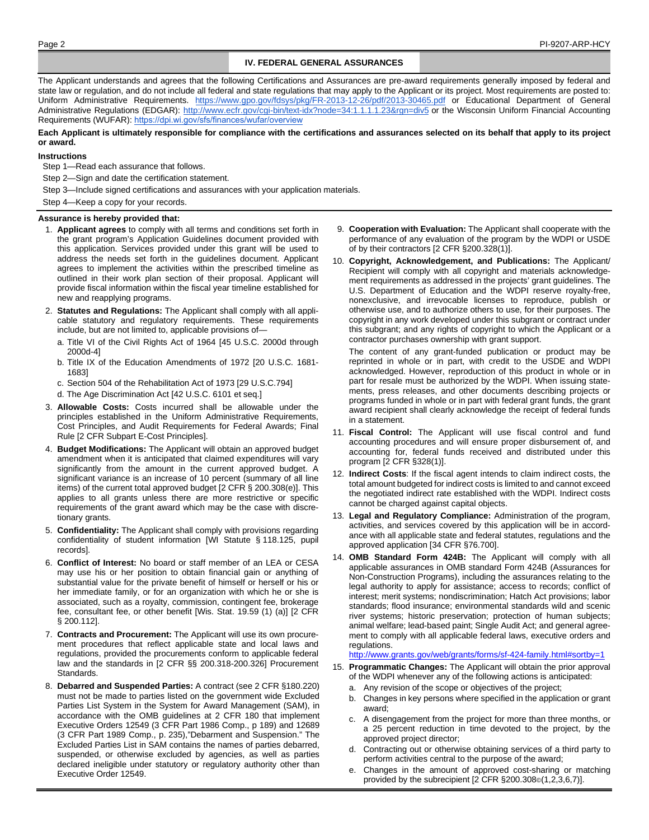## **IV. FEDERAL GENERAL ASSURANCES**

The Applicant understands and agrees that the following Certifications and Assurances are pre-award requirements generally imposed by federal and state law or regulation, and do not include all federal and state regulations that may apply to the Applicant or its project. Most requirements are posted to: Uniform Administrative Requirements[. https://www.gpo.gov/fdsys/pkg/FR-2013-12-26/pdf/2013-30465.pdf](https://www.gpo.gov/fdsys/pkg/FR-2013-12-26/pdf/2013-30465.pdf) or Educational Department of General Administrative Regulations (EDGAR)[: http://www.ecfr.gov/cgi-bin/text-idx?node=34:1.1.1.1.23&rgn=div5](http://www.ecfr.gov/cgi-bin/text-idx?node=34:1.1.1.1.23&rgn=div5) or the Wisconsin Uniform Financial Accounting Requirements (WUFAR): <https://dpi.wi.gov/sfs/finances/wufar/overview>

#### Each Applicant is ultimately responsible for compliance with the certifications and assurances selected on its behalf that apply to its project **or award.**

### **Instructions**

- Step 1—Read each assurance that follows.
- Step 2—Sign and date the certification statement.
- Step 3—Include signed certifications and assurances with your application materials.
- Step 4—Keep a copy for your records.

### **Assurance is hereby provided that:**

- 1. **Applicant agrees** to comply with all terms and conditions set forth in the grant program's Application Guidelines document provided with this application. Services provided under this grant will be used to address the needs set forth in the guidelines document. Applicant agrees to implement the activities within the prescribed timeline as outlined in their work plan section of their proposal. Applicant will provide fiscal information within the fiscal year timeline established for new and reapplying programs.
- 2. **Statutes and Regulations:** The Applicant shall comply with all applicable statutory and regulatory requirements. These requirements include, but are not limited to, applicable provisions of
	- a. Title VI of the Civil Rights Act of 1964 [45 U.S.C. 2000d through 2000d-4]
	- b. Title IX of the Education Amendments of 1972 [20 U.S.C. 1681- 1683]
	- c. Section 504 of the Rehabilitation Act of 1973 [29 U.S.C.794]
	- d. The Age Discrimination Act [42 U.S.C. 6101 et seq.]
- 3. **Allowable Costs:** Costs incurred shall be allowable under the principles established in the Uniform Administrative Requirements, Cost Principles, and Audit Requirements for Federal Awards; Final Rule [2 CFR Subpart E-Cost Principles].
- 4. **Budget Modifications:** The Applicant will obtain an approved budget amendment when it is anticipated that claimed expenditures will vary significantly from the amount in the current approved budget. A significant variance is an increase of 10 percent (summary of all line items) of the current total approved budget [2 CFR § 200.308(e)]. This applies to all grants unless there are more restrictive or specific requirements of the grant award which may be the case with discretionary grants.
- 5. **Confidentiality:** The Applicant shall comply with provisions regarding confidentiality of student information [WI Statute § 118.125, pupil records].
- 6. **Conflict of Interest:** No board or staff member of an LEA or CESA may use his or her position to obtain financial gain or anything of substantial value for the private benefit of himself or herself or his or her immediate family, or for an organization with which he or she is associated, such as a royalty, commission, contingent fee, brokerage fee, consultant fee, or other benefit [Wis. Stat. 19.59 (1) (a)] [2 CFR § 200.112].
- 7. **Contracts and Procurement:** The Applicant will use its own procurement procedures that reflect applicable state and local laws and regulations, provided the procurements conform to applicable federal law and the standards in [2 CFR §§ 200.318-200.326] Procurement Standards.
- 8. **Debarred and Suspended Parties:** A contract (see 2 CFR §180.220) must not be made to parties listed on the government wide Excluded Parties List System in the System for Award Management (SAM), in accordance with the OMB guidelines at 2 CFR 180 that implement Executive Orders 12549 (3 CFR Part 1986 Comp., p 189) and 12689 (3 CFR Part 1989 Comp., p. 235),"Debarment and Suspension." The Excluded Parties List in SAM contains the names of parties debarred, suspended, or otherwise excluded by agencies, as well as parties declared ineligible under statutory or regulatory authority other than Executive Order 12549.
- 9. **Cooperation with Evaluation:** The Applicant shall cooperate with the performance of any evaluation of the program by the WDPI or USDE of by their contractors [2 CFR §200.328(1)].
- 10. **Copyright, Acknowledgement, and Publications:** The Applicant/ Recipient will comply with all copyright and materials acknowledgement requirements as addressed in the projects' grant guidelines. The U.S. Department of Education and the WDPI reserve royalty-free, nonexclusive, and irrevocable licenses to reproduce, publish or otherwise use, and to authorize others to use, for their purposes. The copyright in any work developed under this subgrant or contract under this subgrant; and any rights of copyright to which the Applicant or a contractor purchases ownership with grant support.

The content of any grant-funded publication or product may be reprinted in whole or in part, with credit to the USDE and WDPI acknowledged. However, reproduction of this product in whole or in part for resale must be authorized by the WDPI. When issuing statements, press releases, and other documents describing projects or programs funded in whole or in part with federal grant funds, the grant award recipient shall clearly acknowledge the receipt of federal funds in a statement.

- 11. **Fiscal Control:** The Applicant will use fiscal control and fund accounting procedures and will ensure proper disbursement of, and accounting for, federal funds received and distributed under this program [2 CFR §328(1)].
- 12. **Indirect Costs**: If the fiscal agent intends to claim indirect costs, the total amount budgeted for indirect costs is limited to and cannot exceed the negotiated indirect rate established with the WDPI. Indirect costs cannot be charged against capital objects.
- 13. **Legal and Regulatory Compliance:** Administration of the program, activities, and services covered by this application will be in accordance with all applicable state and federal statutes, regulations and the approved application [34 CFR §76.700].
- 14. **OMB Standard Form 424B:** The Applicant will comply with all applicable assurances in OMB standard Form 424B (Assurances for Non-Construction Programs), including the assurances relating to the legal authority to apply for assistance; access to records; conflict of interest; merit systems; nondiscrimination; Hatch Act provisions; labor standards; flood insurance; environmental standards wild and scenic river systems; historic preservation; protection of human subjects; animal welfare; lead-based paint; Single Audit Act; and general agreement to comply with all applicable federal laws, executive orders and regulations.

<http://www.grants.gov/web/grants/forms/sf-424-family.html#sortby=1>

- 15. **Programmatic Changes:** The Applicant will obtain the prior approval of the WDPI whenever any of the following actions is anticipated:
	- a. Any revision of the scope or objectives of the project;
	- b. Changes in key persons where specified in the application or grant award;
	- c. A disengagement from the project for more than three months, or a 25 percent reduction in time devoted to the project, by the approved project director;
	- d. Contracting out or otherwise obtaining services of a third party to perform activities central to the purpose of the award;
	- e. Changes in the amount of approved cost-sharing or matching provided by the subrecipient [2 CFR §200.308©(1,2,3,6,7)].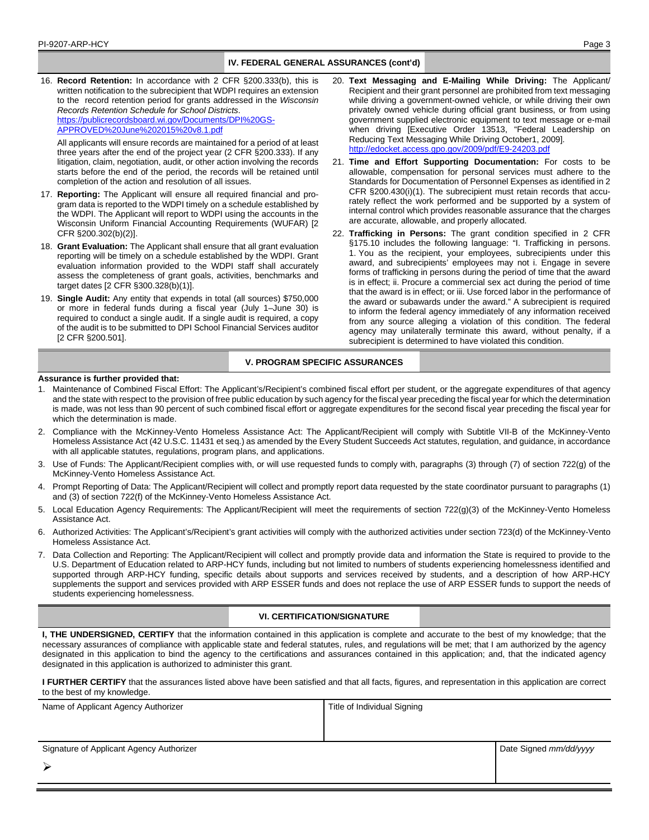## **IV. FEDERAL GENERAL ASSURANCES (cont'd)**

16. **Record Retention:** In accordance with 2 CFR §200.333(b), this is written notification to the subrecipient that WDPI requires an extension to the record retention period for grants addressed in the *Wisconsin Records Retention Schedule for School Districts*. [https://publicrecordsboard.wi.gov/Documents/DPI%20GS-](https://publicrecordsboard.wi.gov/Documents/DPI%20GS-APPROVED%20June%202015%20v8.1.pdf)

[APPROVED%20June%202015%20v8.1.pdf](https://publicrecordsboard.wi.gov/Documents/DPI%20GS-APPROVED%20June%202015%20v8.1.pdf)

All applicants will ensure records are maintained for a period of at least three years after the end of the project year (2 CFR §200.333). If any litigation, claim, negotiation, audit, or other action involving the records starts before the end of the period, the records will be retained until completion of the action and resolution of all issues.

- 17. **Reporting:** The Applicant will ensure all required financial and program data is reported to the WDPI timely on a schedule established by the WDPI. The Applicant will report to WDPI using the accounts in the Wisconsin Uniform Financial Accounting Requirements (WUFAR) [2 CFR §200.302(b)(2)].
- 18. **Grant Evaluation:** The Applicant shall ensure that all grant evaluation reporting will be timely on a schedule established by the WDPI. Grant evaluation information provided to the WDPI staff shall accurately assess the completeness of grant goals, activities, benchmarks and target dates [2 CFR §300.328(b)(1)].
- 19. **Single Audit:** Any entity that expends in total (all sources) \$750,000 or more in federal funds during a fiscal year (July 1–June 30) is required to conduct a single audit. If a single audit is required, a copy of the audit is to be submitted to DPI School Financial Services auditor [2 CFR §200.501].
- 20. **Text Messaging and E-Mailing While Driving:** The Applicant/ Recipient and their grant personnel are prohibited from text messaging while driving a government-owned vehicle, or while driving their own privately owned vehicle during official grant business, or from using government supplied electronic equipment to text message or e-mail when driving [Executive Order 13513, "Federal Leadership on Reducing Text Messaging While Driving October1, 2009]. http://edocket.access.gpo.gov/2009/pdf/E9-24203.pd
- 21. **Time and Effort Supporting Documentation:** For costs to be allowable, compensation for personal services must adhere to the Standards for Documentation of Personnel Expenses as identified in 2 CFR §200.430(i)(1). The subrecipient must retain records that accurately reflect the work performed and be supported by a system of internal control which provides reasonable assurance that the charges are accurate, allowable, and properly allocated.
- 22. **Trafficking in Persons:** The grant condition specified in 2 CFR §175.10 includes the following language: "I. Trafficking in persons. 1. You as the recipient, your employees, subrecipients under this award, and subrecipients' employees may not i. Engage in severe forms of trafficking in persons during the period of time that the award is in effect; ii. Procure a commercial sex act during the period of time that the award is in effect; or iii. Use forced labor in the performance of the award or subawards under the award." A subrecipient is required to inform the federal agency immediately of any information received from any source alleging a violation of this condition. The federal agency may unilaterally terminate this award, without penalty, if a subrecipient is determined to have violated this condition.

# **V. PROGRAM SPECIFIC ASSURANCES**

### **Assurance is further provided that:**

- 1. Maintenance of Combined Fiscal Effort: The Applicant's/Recipient's combined fiscal effort per student, or the aggregate expenditures of that agency and the state with respect to the provision of free public education by such agency for the fiscal year preceding the fiscal year for which the determination is made, was not less than 90 percent of such combined fiscal effort or aggregate expenditures for the second fiscal year preceding the fiscal year for which the determination is made.
- 2. Compliance with the McKinney-Vento Homeless Assistance Act: The Applicant/Recipient will comply with Subtitle VII-B of the McKinney-Vento Homeless Assistance Act (42 U.S.C. 11431 et seq.) as amended by the Every Student Succeeds Act statutes, regulation, and guidance, in accordance with all applicable statutes, regulations, program plans, and applications.
- 3. Use of Funds: The Applicant/Recipient complies with, or will use requested funds to comply with, paragraphs (3) through (7) of section 722(g) of the McKinney-Vento Homeless Assistance Act.
- 4. Prompt Reporting of Data: The Applicant/Recipient will collect and promptly report data requested by the state coordinator pursuant to paragraphs (1) and (3) of section 722(f) of the McKinney-Vento Homeless Assistance Act.
- Local Education Agency Requirements: The Applicant/Recipient will meet the requirements of section 722(g)(3) of the McKinney-Vento Homeless Assistance Act.
- 6. Authorized Activities: The Applicant's/Recipient's grant activities will comply with the authorized activities under section 723(d) of the McKinney-Vento Homeless Assistance Act.
- 7. Data Collection and Reporting: The Applicant/Recipient will collect and promptly provide data and information the State is required to provide to the U.S. Department of Education related to ARP-HCY funds, including but not limited to numbers of students experiencing homelessness identified and supported through ARP-HCY funding, specific details about supports and services received by students, and a description of how ARP-HCY supplements the support and services provided with ARP ESSER funds and does not replace the use of ARP ESSER funds to support the needs of students experiencing homelessness.

### **VI. CERTIFICATION/SIGNATURE**

**I, THE UNDERSIGNED, CERTIFY** that the information contained in this application is complete and accurate to the best of my knowledge; that the necessary assurances of compliance with applicable state and federal statutes, rules, and regulations will be met; that I am authorized by the agency designated in this application to bind the agency to the certifications and assurances contained in this application; and, that the indicated agency designated in this application is authorized to administer this grant.

**I FURTHER CERTIFY** that the assurances listed above have been satisfied and that all facts, figures, and representation in this application are correct to the best of my knowledge.

| Name of Applicant Agency Authorizer      | Title of Individual Signing |                        |
|------------------------------------------|-----------------------------|------------------------|
|                                          |                             |                        |
|                                          |                             |                        |
| Signature of Applicant Agency Authorizer |                             | Date Signed mm/dd/yyyy |
|                                          |                             |                        |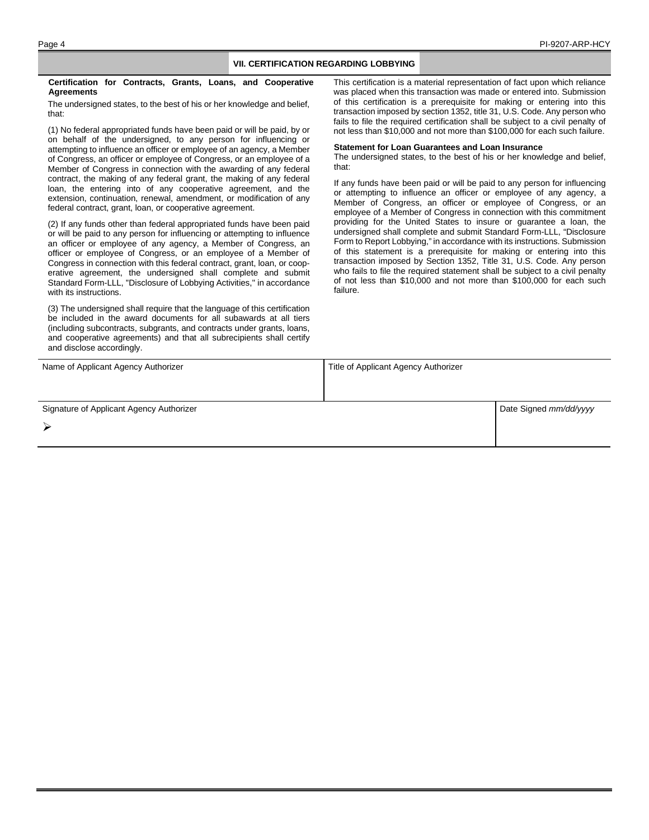## **VII. CERTIFICATION REGARDING LOBBYING**

**Certification for Contracts, Grants, Loans, and Cooperative Agreements**

The undersigned states, to the best of his or her knowledge and belief, that:

(1) No federal appropriated funds have been paid or will be paid, by or on behalf of the undersigned, to any person for influencing or attempting to influence an officer or employee of an agency, a Member of Congress, an officer or employee of Congress, or an employee of a Member of Congress in connection with the awarding of any federal contract, the making of any federal grant, the making of any federal loan, the entering into of any cooperative agreement, and the extension, continuation, renewal, amendment, or modification of any federal contract, grant, loan, or cooperative agreement.

(2) If any funds other than federal appropriated funds have been paid or will be paid to any person for influencing or attempting to influence an officer or employee of any agency, a Member of Congress, an officer or employee of Congress, or an employee of a Member of Congress in connection with this federal contract, grant, loan, or cooperative agreement, the undersigned shall complete and submit Standard Form-LLL, "Disclosure of Lobbying Activities," in accordance with its instructions.

(3) The undersigned shall require that the language of this certification be included in the award documents for all subawards at all tiers (including subcontracts, subgrants, and contracts under grants, loans, and cooperative agreements) and that all subrecipients shall certify and disclose accordingly.

This certification is a material representation of fact upon which reliance was placed when this transaction was made or entered into. Submission of this certification is a prerequisite for making or entering into this transaction imposed by section 1352, title 31, U.S. Code. Any person who fails to file the required certification shall be subject to a civil penalty of not less than \$10,000 and not more than \$100,000 for each such failure.

#### **Statement for Loan Guarantees and Loan Insurance**

The undersigned states, to the best of his or her knowledge and belief, that:

If any funds have been paid or will be paid to any person for influencing or attempting to influence an officer or employee of any agency, a Member of Congress, an officer or employee of Congress, or an employee of a Member of Congress in connection with this commitment providing for the United States to insure or guarantee a loan, the undersigned shall complete and submit Standard Form-LLL, "Disclosure Form to Report Lobbying," in accordance with its instructions. Submission of this statement is a prerequisite for making or entering into this transaction imposed by Section 1352, Title 31, U.S. Code. Any person who fails to file the required statement shall be subject to a civil penalty of not less than \$10,000 and not more than \$100,000 for each such failure.

| Name of Applicant Agency Authorizer      | Title of Applicant Agency Authorizer |                        |
|------------------------------------------|--------------------------------------|------------------------|
|                                          |                                      |                        |
| Signature of Applicant Agency Authorizer |                                      | Date Signed mm/dd/yyyy |
|                                          |                                      |                        |
|                                          |                                      |                        |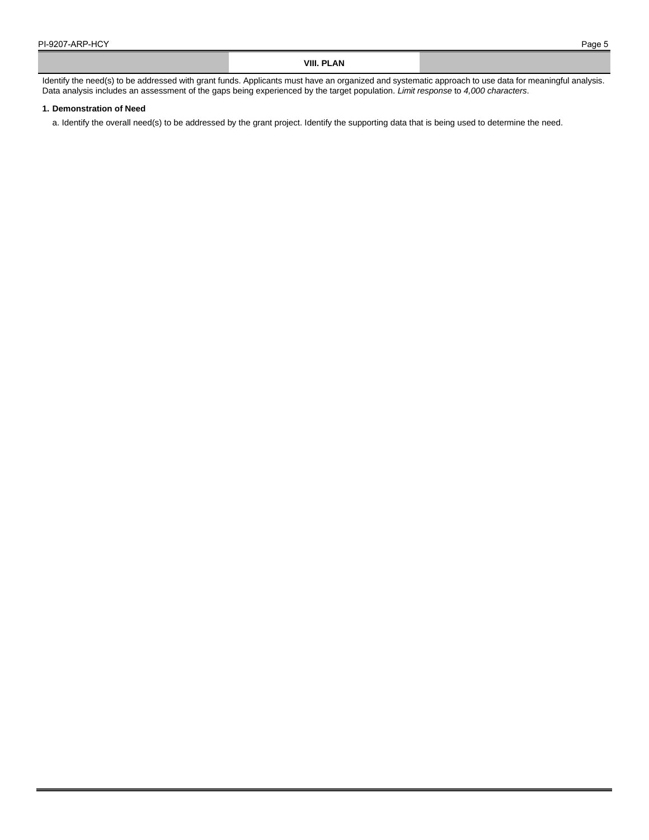## **VIII. PLAN**

Identify the need(s) to be addressed with grant funds. Applicants must have an organized and systematic approach to use data for meaningful analysis. Data analysis includes an assessment of the gaps being experienced by the target population. *Limit response* to *4,000 characters*.

#### **1. Demonstration of Need**

a. Identify the overall need(s) to be addressed by the grant project. Identify the supporting data that is being used to determine the need.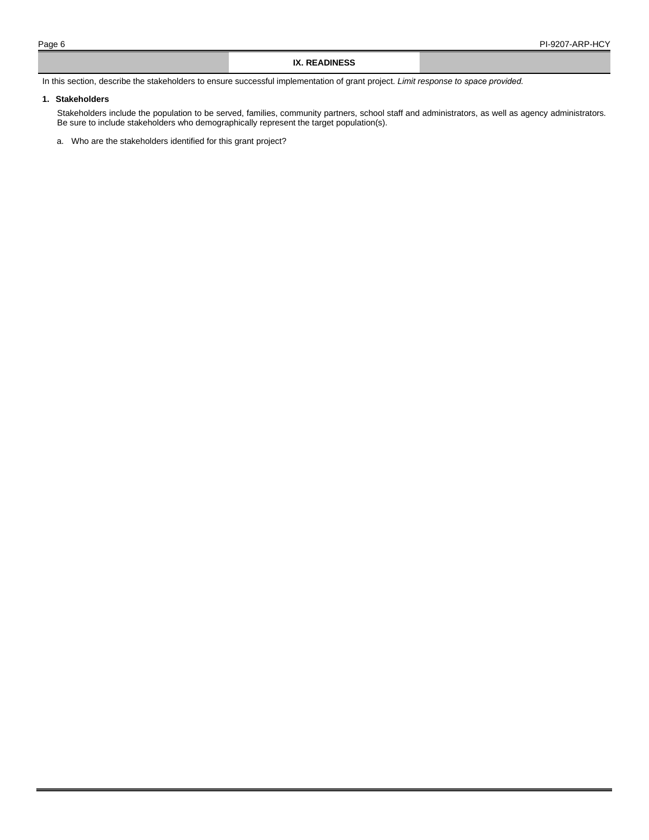### **IX. READINESS**

In this section, describe the stakeholders to ensure successful implementation of grant project. *Limit response to space provided.* 

## **1. Stakeholders**

Stakeholders include the population to be served, families, community partners, school staff and administrators, as well as agency administrators. Be sure to include stakeholders who demographically represent the target population(s).

a. Who are the stakeholders identified for this grant project?